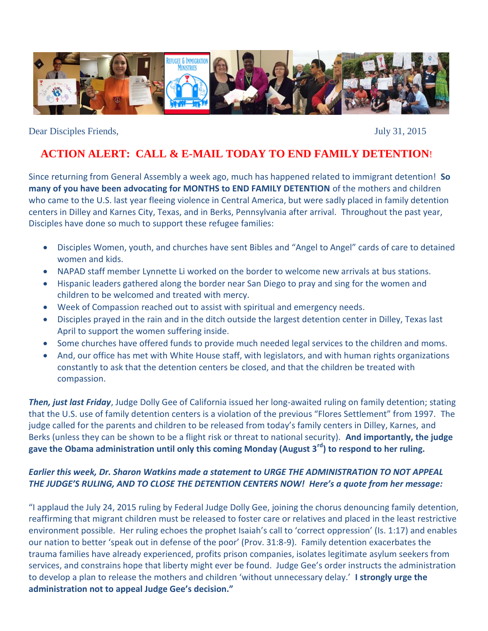

Dear Disciples Friends, July 31, 2015

# **ACTION ALERT: CALL & E-MAIL TODAY TO END FAMILY DETENTION**!

Since returning from General Assembly a week ago, much has happened related to immigrant detention! **So many of you have been advocating for MONTHS to END FAMILY DETENTION** of the mothers and children who came to the U.S. last year fleeing violence in Central America, but were sadly placed in family detention centers in Dilley and Karnes City, Texas, and in Berks, Pennsylvania after arrival. Throughout the past year, Disciples have done so much to support these refugee families:

- Disciples Women, youth, and churches have sent Bibles and "Angel to Angel" cards of care to detained women and kids.
- NAPAD staff member Lynnette Li worked on the border to welcome new arrivals at bus stations.
- Hispanic leaders gathered along the border near San Diego to pray and sing for the women and children to be welcomed and treated with mercy.
- Week of Compassion reached out to assist with spiritual and emergency needs.
- Disciples prayed in the rain and in the ditch outside the largest detention center in Dilley, Texas last April to support the women suffering inside.
- Some churches have offered funds to provide much needed legal services to the children and moms.
- And, our office has met with White House staff, with legislators, and with human rights organizations constantly to ask that the detention centers be closed, and that the children be treated with compassion.

*Then, just last Friday*, Judge Dolly Gee of California issued her long-awaited ruling on family detention; stating that the U.S. use of family detention centers is a violation of the previous "Flores Settlement" from 1997. The judge called for the parents and children to be released from today's family centers in Dilley, Karnes, and Berks (unless they can be shown to be a flight risk or threat to national security). **And importantly, the judge gave the Obama administration until only this coming Monday (August 3rd) to respond to her ruling.**

### *Earlier this week, Dr. Sharon Watkins made a statement to URGE THE ADMINISTRATION TO NOT APPEAL THE JUDGE'S RULING, AND TO CLOSE THE DETENTION CENTERS NOW! Here's a quote from her message:*

"I applaud the July 24, 2015 ruling by Federal Judge Dolly Gee, joining the chorus denouncing family detention, reaffirming that migrant children must be released to foster care or relatives and placed in the least restrictive environment possible. Her ruling echoes the prophet Isaiah's call to 'correct oppression' (Is. 1:17) and enables our nation to better 'speak out in defense of the poor' (Prov. 31:8-9). Family detention exacerbates the trauma families have already experienced, profits prison companies, isolates legitimate asylum seekers from services, and constrains hope that liberty might ever be found. Judge Gee's order instructs the administration to develop a plan to release the mothers and children 'without unnecessary delay.' **I strongly urge the administration not to appeal Judge Gee's decision."**